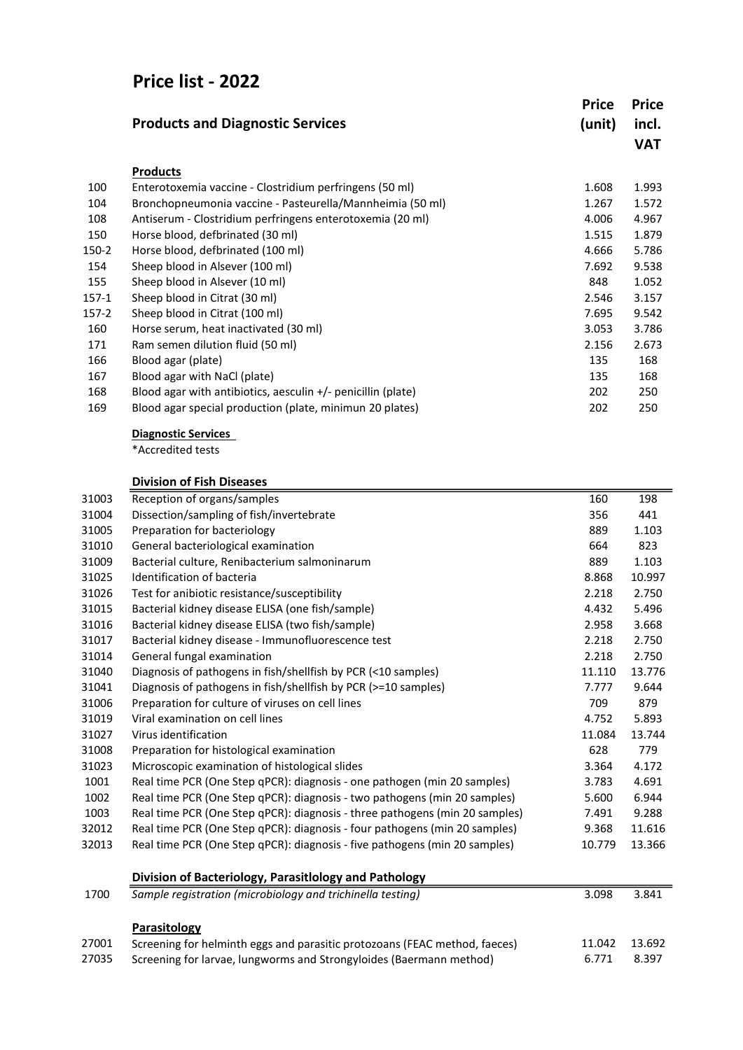# Price list - 2022

|           | <b>Products and Diagnostic Services</b>                      | <b>Price</b><br>(unit) | <b>Price</b><br>incl.<br><b>VAT</b> |
|-----------|--------------------------------------------------------------|------------------------|-------------------------------------|
|           | <b>Products</b>                                              |                        |                                     |
| 100       | Enterotoxemia vaccine - Clostridium perfringens (50 ml)      | 1.608                  | 1.993                               |
| 104       | Bronchopneumonia vaccine - Pasteurella/Mannheimia (50 ml)    | 1.267                  | 1.572                               |
| 108       | Antiserum - Clostridium perfringens enterotoxemia (20 ml)    | 4.006                  | 4.967                               |
| 150       | Horse blood, defbrinated (30 ml)                             | 1.515                  | 1.879                               |
| 150-2     | Horse blood, defbrinated (100 ml)                            | 4.666                  | 5.786                               |
| 154       | Sheep blood in Alsever (100 ml)                              | 7.692                  | 9.538                               |
| 155       | Sheep blood in Alsever (10 ml)                               | 848                    | 1.052                               |
| $157 - 1$ | Sheep blood in Citrat (30 ml)                                | 2.546                  | 3.157                               |
| 157-2     | Sheep blood in Citrat (100 ml)                               | 7.695                  | 9.542                               |
| 160       | Horse serum, heat inactivated (30 ml)                        | 3.053                  | 3.786                               |
| 171       | Ram semen dilution fluid (50 ml)                             | 2.156                  | 2.673                               |
| 166       | Blood agar (plate)                                           | 135                    | 168                                 |
| 167       | Blood agar with NaCl (plate)                                 | 135                    | 168                                 |
| 168       | Blood agar with antibiotics, aesculin +/- penicillin (plate) | 202                    | 250                                 |
| 169       | Blood agar special production (plate, minimun 20 plates)     | 202                    | 250                                 |
|           |                                                              |                        |                                     |

#### Diagnostic Services

\*Accredited tests

#### Division of Fish Diseases

| 31003 | Reception of organs/samples                                                 | 160    | 198    |
|-------|-----------------------------------------------------------------------------|--------|--------|
| 31004 | Dissection/sampling of fish/invertebrate                                    | 356    | 441    |
| 31005 | Preparation for bacteriology                                                | 889    | 1.103  |
| 31010 | General bacteriological examination                                         | 664    | 823    |
| 31009 | Bacterial culture, Renibacterium salmoninarum                               | 889    | 1.103  |
| 31025 | Identification of bacteria                                                  | 8.868  | 10.997 |
| 31026 | Test for anibiotic resistance/susceptibility                                | 2.218  | 2.750  |
| 31015 | Bacterial kidney disease ELISA (one fish/sample)                            | 4.432  | 5.496  |
| 31016 | Bacterial kidney disease ELISA (two fish/sample)                            | 2.958  | 3.668  |
| 31017 | Bacterial kidney disease - Immunofluorescence test                          | 2.218  | 2.750  |
| 31014 | General fungal examination                                                  | 2.218  | 2.750  |
| 31040 | Diagnosis of pathogens in fish/shellfish by PCR (<10 samples)               | 11.110 | 13.776 |
| 31041 | Diagnosis of pathogens in fish/shellfish by PCR (>=10 samples)              | 7.777  | 9.644  |
| 31006 | Preparation for culture of viruses on cell lines                            | 709    | 879    |
| 31019 | Viral examination on cell lines                                             | 4.752  | 5.893  |
| 31027 | Virus identification                                                        | 11.084 | 13.744 |
| 31008 | Preparation for histological examination                                    | 628    | 779    |
| 31023 | Microscopic examination of histological slides                              | 3.364  | 4.172  |
| 1001  | Real time PCR (One Step qPCR): diagnosis - one pathogen (min 20 samples)    | 3.783  | 4.691  |
| 1002  | Real time PCR (One Step qPCR): diagnosis - two pathogens (min 20 samples)   | 5.600  | 6.944  |
| 1003  | Real time PCR (One Step qPCR): diagnosis - three pathogens (min 20 samples) | 7.491  | 9.288  |
| 32012 | Real time PCR (One Step qPCR): diagnosis - four pathogens (min 20 samples)  | 9.368  | 11.616 |
| 32013 | Real time PCR (One Step qPCR): diagnosis - five pathogens (min 20 samples)  | 10.779 | 13.366 |
|       | Division of Bacteriology, Parasitlology and Pathology                       |        |        |
| 1700  | Sample registration (microbiology and trichinella testing)                  | 3.098  | 3.841  |
|       | Parasitology                                                                |        |        |
| 27001 | Screening for helminth eggs and parasitic protozoans (FEAC method, faeces)  | 11.042 | 13.692 |
| 27035 | Screening for larvae, lungworms and Strongyloides (Baermann method)         | 6.771  | 8.397  |

Screening for larvae, lungworms and Strongyloides (Baermann method) 6.771 8.397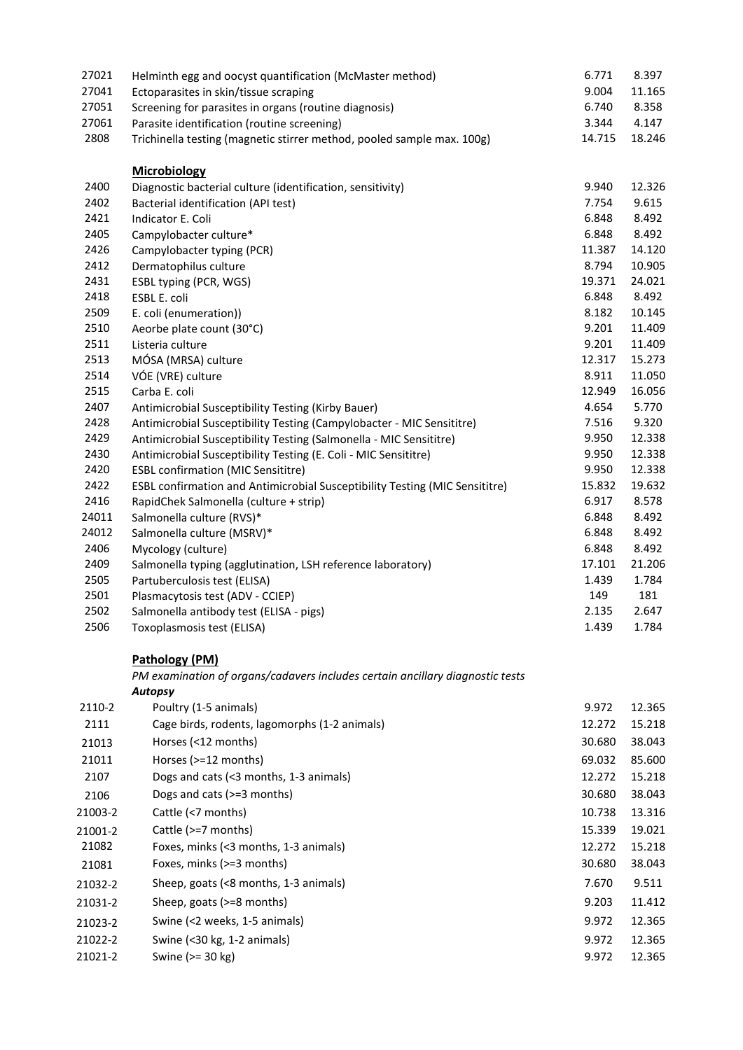| 27041<br>Ectoparasites in skin/tissue scraping<br>27051<br>Screening for parasites in organs (routine diagnosis) | 9.004<br>6.740<br>3.344<br>14.715 | 11.165<br>8.358<br>4.147 |
|------------------------------------------------------------------------------------------------------------------|-----------------------------------|--------------------------|
|                                                                                                                  |                                   |                          |
|                                                                                                                  |                                   |                          |
| 27061<br>Parasite identification (routine screening)                                                             |                                   |                          |
| 2808<br>Trichinella testing (magnetic stirrer method, pooled sample max. 100g)                                   |                                   | 18.246                   |
| <b>Microbiology</b>                                                                                              |                                   |                          |
| 2400<br>Diagnostic bacterial culture (identification, sensitivity)                                               | 9.940                             | 12.326                   |
| 2402<br>Bacterial identification (API test)                                                                      | 7.754                             | 9.615                    |
| 2421<br>Indicator E. Coli                                                                                        | 6.848                             | 8.492                    |
| 2405<br>Campylobacter culture*                                                                                   | 6.848                             | 8.492                    |
| 2426<br>Campylobacter typing (PCR)                                                                               | 11.387                            | 14.120                   |
| 2412<br>Dermatophilus culture                                                                                    | 8.794                             | 10.905                   |
| 2431<br>ESBL typing (PCR, WGS)                                                                                   | 19.371                            | 24.021                   |
| 2418<br>ESBL E. coli                                                                                             | 6.848                             | 8.492                    |
| 2509<br>E. coli (enumeration))                                                                                   | 8.182                             | 10.145                   |
| 2510<br>Aeorbe plate count (30°C)                                                                                | 9.201                             | 11.409                   |
| 2511<br>Listeria culture                                                                                         | 9.201                             | 11.409                   |
| 2513<br>MÓSA (MRSA) culture                                                                                      | 12.317                            | 15.273                   |
| 2514<br>VÓE (VRE) culture                                                                                        | 8.911                             | 11.050                   |
| 2515<br>Carba E. coli                                                                                            | 12.949                            | 16.056                   |
| 2407<br>Antimicrobial Susceptibility Testing (Kirby Bauer)                                                       | 4.654                             | 5.770                    |
| 2428<br>Antimicrobial Susceptibility Testing (Campylobacter - MIC Sensititre)                                    | 7.516                             | 9.320                    |
| 2429<br>Antimicrobial Susceptibility Testing (Salmonella - MIC Sensititre)                                       | 9.950                             | 12.338                   |
| 2430<br>Antimicrobial Susceptibility Testing (E. Coli - MIC Sensititre)                                          | 9.950                             | 12.338                   |
| 2420<br><b>ESBL confirmation (MIC Sensititre)</b>                                                                | 9.950                             | 12.338                   |
| 2422<br>ESBL confirmation and Antimicrobial Susceptibility Testing (MIC Sensititre)                              | 15.832                            | 19.632                   |
| 2416<br>RapidChek Salmonella (culture + strip)                                                                   | 6.917                             | 8.578                    |
| 24011<br>Salmonella culture (RVS)*                                                                               | 6.848                             | 8.492                    |
| 24012<br>Salmonella culture (MSRV)*                                                                              | 6.848                             | 8.492                    |
| 2406<br>Mycology (culture)                                                                                       | 6.848                             | 8.492                    |
| 2409<br>Salmonella typing (agglutination, LSH reference laboratory)                                              | 17.101                            | 21.206                   |
| 2505<br>Partuberculosis test (ELISA)                                                                             | 1.439                             | 1.784                    |
| 2501<br>Plasmacytosis test (ADV - CCIEP)                                                                         | 149                               | 181                      |
| 2502<br>Salmonella antibody test (ELISA - pigs)                                                                  | 2.135                             | 2.647                    |
| 2506<br>Toxoplasmosis test (ELISA)                                                                               | 1.439                             | 1.784                    |

### Pathology (PM)

PM examination of organs/cadavers includes certain ancillary diagnostic tests

|         | Autopsy                                       |        |        |
|---------|-----------------------------------------------|--------|--------|
| 2110-2  | Poultry (1-5 animals)                         | 9.972  | 12.365 |
| 2111    | Cage birds, rodents, lagomorphs (1-2 animals) | 12.272 | 15.218 |
| 21013   | Horses (<12 months)                           | 30.680 | 38.043 |
| 21011   | Horses $(>=12$ months)                        | 69.032 | 85.600 |
| 2107    | Dogs and cats (<3 months, 1-3 animals)        | 12.272 | 15.218 |
| 2106    | Dogs and cats $(>=3$ months)                  | 30.680 | 38.043 |
| 21003-2 | Cattle (<7 months)                            | 10.738 | 13.316 |
| 21001-2 | Cattle (>=7 months)                           | 15.339 | 19.021 |
| 21082   | Foxes, minks (<3 months, 1-3 animals)         | 12.272 | 15.218 |
| 21081   | Foxes, minks (>=3 months)                     | 30.680 | 38.043 |
| 21032-2 | Sheep, goats (<8 months, 1-3 animals)         | 7.670  | 9.511  |
| 21031-2 | Sheep, goats (>=8 months)                     | 9.203  | 11.412 |
| 21023-2 | Swine (<2 weeks, 1-5 animals)                 | 9.972  | 12.365 |
| 21022-2 | Swine $($ <30 kg, 1-2 animals $)$             | 9.972  | 12.365 |
| 21021-2 | Swine $(>=$ 30 kg)                            | 9.972  | 12.365 |
|         |                                               |        |        |